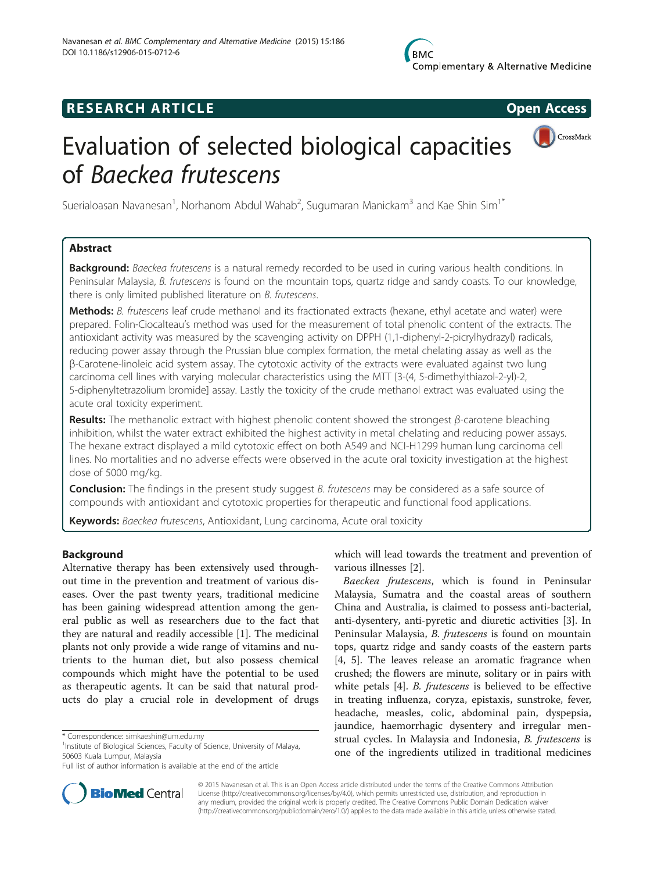## **RESEARCH ARTICLE Example 2014 CONSIDERING CONSIDERING CONSIDERING CONSIDERING CONSIDERING CONSIDERING CONSIDERING CONSIDERING CONSIDERING CONSIDERING CONSIDERING CONSIDERING CONSIDERING CONSIDERING CONSIDERING CONSIDE**



# Evaluation of selected biological capacities of Baeckea frutescens

Suerialoasan Navanesan<sup>1</sup>, Norhanom Abdul Wahab<sup>2</sup>, Sugumaran Manickam<sup>3</sup> and Kae Shin Sim<sup>1\*</sup>

## Abstract

Background: Baeckea frutescens is a natural remedy recorded to be used in curing various health conditions. In Peninsular Malaysia, B. frutescens is found on the mountain tops, quartz ridge and sandy coasts. To our knowledge, there is only limited published literature on B. frutescens.

Methods: B. frutescens leaf crude methanol and its fractionated extracts (hexane, ethyl acetate and water) were prepared. Folin-Ciocalteau's method was used for the measurement of total phenolic content of the extracts. The antioxidant activity was measured by the scavenging activity on DPPH (1,1-diphenyl-2-picrylhydrazyl) radicals, reducing power assay through the Prussian blue complex formation, the metal chelating assay as well as the β-Carotene-linoleic acid system assay. The cytotoxic activity of the extracts were evaluated against two lung carcinoma cell lines with varying molecular characteristics using the MTT [3-(4, 5-dimethylthiazol-2-yl)-2, 5-diphenyltetrazolium bromide] assay. Lastly the toxicity of the crude methanol extract was evaluated using the acute oral toxicity experiment.

Results: The methanolic extract with highest phenolic content showed the strongest  $\beta$ -carotene bleaching inhibition, whilst the water extract exhibited the highest activity in metal chelating and reducing power assays. The hexane extract displayed a mild cytotoxic effect on both A549 and NCI-H1299 human lung carcinoma cell lines. No mortalities and no adverse effects were observed in the acute oral toxicity investigation at the highest dose of 5000 mg/kg.

**Conclusion:** The findings in the present study suggest B. frutescens may be considered as a safe source of compounds with antioxidant and cytotoxic properties for therapeutic and functional food applications.

Keywords: Baeckea frutescens, Antioxidant, Lung carcinoma, Acute oral toxicity

## Background

Alternative therapy has been extensively used throughout time in the prevention and treatment of various diseases. Over the past twenty years, traditional medicine has been gaining widespread attention among the general public as well as researchers due to the fact that they are natural and readily accessible [\[1](#page-7-0)]. The medicinal plants not only provide a wide range of vitamins and nutrients to the human diet, but also possess chemical compounds which might have the potential to be used as therapeutic agents. It can be said that natural products do play a crucial role in development of drugs



Baeckea frutescens, which is found in Peninsular Malaysia, Sumatra and the coastal areas of southern China and Australia, is claimed to possess anti-bacterial, anti-dysentery, anti-pyretic and diuretic activities [[3\]](#page-7-0). In Peninsular Malaysia, B. frutescens is found on mountain tops, quartz ridge and sandy coasts of the eastern parts [[4, 5\]](#page-7-0). The leaves release an aromatic fragrance when crushed; the flowers are minute, solitary or in pairs with white petals [[4\]](#page-7-0). *B. frutescens* is believed to be effective in treating influenza, coryza, epistaxis, sunstroke, fever, headache, measles, colic, abdominal pain, dyspepsia, jaundice, haemorrhagic dysentery and irregular menstrual cycles. In Malaysia and Indonesia, B. frutescens is one of the ingredients utilized in traditional medicines



© 2015 Navanesan et al. This is an Open Access article distributed under the terms of the Creative Commons Attribution License (<http://creativecommons.org/licenses/by/4.0>), which permits unrestricted use, distribution, and reproduction in any medium, provided the original work is properly credited. The Creative Commons Public Domain Dedication waiver [\(http://creativecommons.org/publicdomain/zero/1.0/](http://creativecommons.org/publicdomain/zero/1.0/)) applies to the data made available in this article, unless otherwise stated.

<sup>\*</sup> Correspondence: [simkaeshin@um.edu.my](mailto:simkaeshin@um.edu.my) <sup>1</sup>

<sup>&</sup>lt;sup>1</sup>Institute of Biological Sciences, Faculty of Science, University of Malaya, 50603 Kuala Lumpur, Malaysia

Full list of author information is available at the end of the article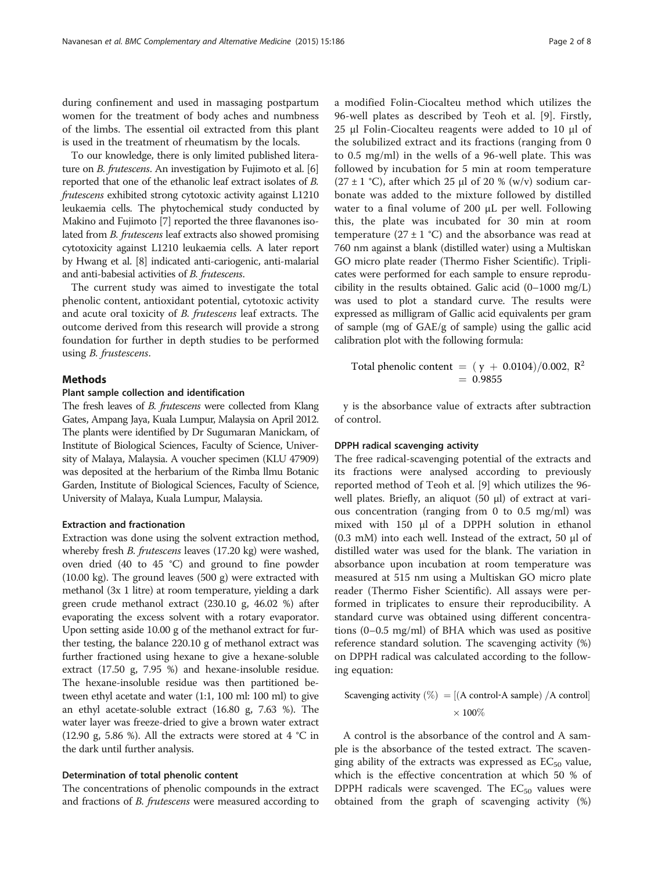during confinement and used in massaging postpartum women for the treatment of body aches and numbness of the limbs. The essential oil extracted from this plant is used in the treatment of rheumatism by the locals.

To our knowledge, there is only limited published literature on *B. frutescens*. An investigation by Fujimoto et al. [[6](#page-7-0)] reported that one of the ethanolic leaf extract isolates of B. frutescens exhibited strong cytotoxic activity against L1210 leukaemia cells. The phytochemical study conducted by Makino and Fujimoto [\[7\]](#page-7-0) reported the three flavanones isolated from B. frutescens leaf extracts also showed promising cytotoxicity against L1210 leukaemia cells. A later report by Hwang et al. [\[8](#page-7-0)] indicated anti-cariogenic, anti-malarial and anti-babesial activities of B. frutescens.

The current study was aimed to investigate the total phenolic content, antioxidant potential, cytotoxic activity and acute oral toxicity of B. frutescens leaf extracts. The outcome derived from this research will provide a strong foundation for further in depth studies to be performed using B. frustescens.

## Methods

## Plant sample collection and identification

The fresh leaves of B. frutescens were collected from Klang Gates, Ampang Jaya, Kuala Lumpur, Malaysia on April 2012. The plants were identified by Dr Sugumaran Manickam, of Institute of Biological Sciences, Faculty of Science, University of Malaya, Malaysia. A voucher specimen (KLU 47909) was deposited at the herbarium of the Rimba llmu Botanic Garden, Institute of Biological Sciences, Faculty of Science, University of Malaya, Kuala Lumpur, Malaysia.

## Extraction and fractionation

Extraction was done using the solvent extraction method, whereby fresh B. frutescens leaves (17.20 kg) were washed, oven dried (40 to 45 °C) and ground to fine powder (10.00 kg). The ground leaves (500 g) were extracted with methanol (3x 1 litre) at room temperature, yielding a dark green crude methanol extract (230.10 g, 46.02 %) after evaporating the excess solvent with a rotary evaporator. Upon setting aside 10.00 g of the methanol extract for further testing, the balance 220.10 g of methanol extract was further fractioned using hexane to give a hexane-soluble extract (17.50 g, 7.95 %) and hexane-insoluble residue. The hexane-insoluble residue was then partitioned between ethyl acetate and water (1:1, 100 ml: 100 ml) to give an ethyl acetate-soluble extract (16.80 g, 7.63 %). The water layer was freeze-dried to give a brown water extract (12.90 g, 5.86 %). All the extracts were stored at 4 °C in the dark until further analysis.

## Determination of total phenolic content

The concentrations of phenolic compounds in the extract and fractions of B. frutescens were measured according to

a modified Folin-Ciocalteu method which utilizes the 96-well plates as described by Teoh et al. [\[9](#page-7-0)]. Firstly, 25 μl Folin-Ciocalteu reagents were added to 10 μl of the solubilized extract and its fractions (ranging from 0 to 0.5 mg/ml) in the wells of a 96-well plate. This was followed by incubation for 5 min at room temperature  $(27 \pm 1 \degree C)$ , after which 25 μl of 20 % (w/v) sodium carbonate was added to the mixture followed by distilled water to a final volume of 200 μL per well. Following this, the plate was incubated for 30 min at room temperature  $(27 \pm 1 \degree C)$  and the absorbance was read at 760 nm against a blank (distilled water) using a Multiskan GO micro plate reader (Thermo Fisher Scientific). Triplicates were performed for each sample to ensure reproducibility in the results obtained. Galic acid (0–1000 mg/L) was used to plot a standard curve. The results were expressed as milligram of Gallic acid equivalents per gram of sample (mg of GAE/g of sample) using the gallic acid calibration plot with the following formula:

Total phenolic content = 
$$
(y + 0.0104)/0.002
$$
,  $R^2$   
= 0.9855

y is the absorbance value of extracts after subtraction of control.

## DPPH radical scavenging activity

The free radical-scavenging potential of the extracts and its fractions were analysed according to previously reported method of Teoh et al. [[9\]](#page-7-0) which utilizes the 96 well plates. Briefly, an aliquot (50 μl) of extract at various concentration (ranging from 0 to 0.5 mg/ml) was mixed with 150 μl of a DPPH solution in ethanol (0.3 mM) into each well. Instead of the extract, 50 μl of distilled water was used for the blank. The variation in absorbance upon incubation at room temperature was measured at 515 nm using a Multiskan GO micro plate reader (Thermo Fisher Scientific). All assays were performed in triplicates to ensure their reproducibility. A standard curve was obtained using different concentrations (0–0.5 mg/ml) of BHA which was used as positive reference standard solution. The scavenging activity (%) on DPPH radical was calculated according to the following equation:

Scavenging activity  $(\%) = [(A \text{ control-A sample}) / A \text{ control}]$  $\times 100\%$ 

A control is the absorbance of the control and A sample is the absorbance of the tested extract. The scavenging ability of the extracts was expressed as  $EC_{50}$  value, which is the effective concentration at which 50 % of DPPH radicals were scavenged. The  $EC_{50}$  values were obtained from the graph of scavenging activity (%)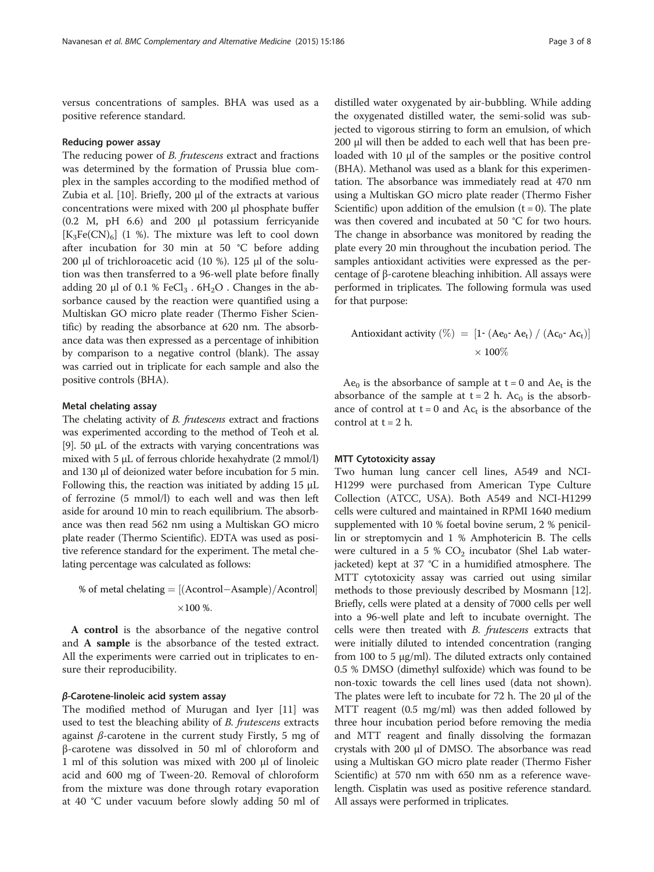versus concentrations of samples. BHA was used as a positive reference standard.

## Reducing power assay

The reducing power of *B. frutescens* extract and fractions was determined by the formation of Prussia blue complex in the samples according to the modified method of Zubia et al. [\[10](#page-7-0)]. Briefly, 200 μl of the extracts at various concentrations were mixed with 200 μl phosphate buffer (0.2 M, pH 6.6) and 200 μl potassium ferricyanide  $[K<sub>3</sub>Fe(CN)<sub>6</sub>]$  (1 %). The mixture was left to cool down after incubation for 30 min at 50 °C before adding 200 μl of trichloroacetic acid (10 %). 125 μl of the solution was then transferred to a 96-well plate before finally adding 20  $\mu$ l of 0.1 % FeCl<sub>3</sub>. 6H<sub>2</sub>O. Changes in the absorbance caused by the reaction were quantified using a Multiskan GO micro plate reader (Thermo Fisher Scientific) by reading the absorbance at 620 nm. The absorbance data was then expressed as a percentage of inhibition by comparison to a negative control (blank). The assay was carried out in triplicate for each sample and also the positive controls (BHA).

## Metal chelating assay

The chelating activity of B. frutescens extract and fractions was experimented according to the method of Teoh et al. [[9](#page-7-0)]. 50 μL of the extracts with varying concentrations was mixed with 5 μL of ferrous chloride hexahydrate (2 mmol/l) and 130 μl of deionized water before incubation for 5 min. Following this, the reaction was initiated by adding 15 μL of ferrozine (5 mmol/l) to each well and was then left aside for around 10 min to reach equilibrium. The absorbance was then read 562 nm using a Multiskan GO micro plate reader (Thermo Scientific). EDTA was used as positive reference standard for the experiment. The metal chelating percentage was calculated as follows:

% of metal chelating  $=$  [(Acontrol–Asample)/Acontrol]  $\times 100$  %.

A control is the absorbance of the negative control and A sample is the absorbance of the tested extract. All the experiments were carried out in triplicates to ensure their reproducibility.

## β-Carotene-linoleic acid system assay

The modified method of Murugan and Iyer [\[11\]](#page-7-0) was used to test the bleaching ability of *B. frutescens* extracts against  $β$ -carotene in the current study Firstly, 5 mg of β-carotene was dissolved in 50 ml of chloroform and 1 ml of this solution was mixed with 200 μl of linoleic acid and 600 mg of Tween-20. Removal of chloroform from the mixture was done through rotary evaporation at 40 °C under vacuum before slowly adding 50 ml of

distilled water oxygenated by air-bubbling. While adding the oxygenated distilled water, the semi-solid was subjected to vigorous stirring to form an emulsion, of which 200 μl will then be added to each well that has been preloaded with 10 μl of the samples or the positive control (BHA). Methanol was used as a blank for this experimentation. The absorbance was immediately read at 470 nm using a Multiskan GO micro plate reader (Thermo Fisher Scientific) upon addition of the emulsion  $(t = 0)$ . The plate was then covered and incubated at 50 °C for two hours. The change in absorbance was monitored by reading the plate every 20 min throughout the incubation period. The samples antioxidant activities were expressed as the percentage of β-carotene bleaching inhibition. All assays were performed in triplicates. The following formula was used for that purpose:

Antioxidant activity (
$$
\%
$$
) = [1- (Ae<sub>0</sub>- Ae<sub>t</sub>) / (Ac<sub>0</sub>- Ac<sub>t</sub>)]  
\n× 100%

Ae<sub>0</sub> is the absorbance of sample at  $t = 0$  and Ae<sub>t</sub> is the absorbance of the sample at  $t = 2$  h. Ac<sub>0</sub> is the absorbance of control at  $t = 0$  and  $Ac_t$  is the absorbance of the control at  $t = 2$  h.

## MTT Cytotoxicity assay

Two human lung cancer cell lines, A549 and NCI-H1299 were purchased from American Type Culture Collection (ATCC, USA). Both A549 and NCI-H1299 cells were cultured and maintained in RPMI 1640 medium supplemented with 10 % foetal bovine serum, 2 % penicillin or streptomycin and 1 % Amphotericin B. The cells were cultured in a 5 %  $CO<sub>2</sub>$  incubator (Shel Lab waterjacketed) kept at 37 °C in a humidified atmosphere. The MTT cytotoxicity assay was carried out using similar methods to those previously described by Mosmann [[12](#page-7-0)]. Briefly, cells were plated at a density of 7000 cells per well into a 96-well plate and left to incubate overnight. The cells were then treated with B. frutescens extracts that were initially diluted to intended concentration (ranging from 100 to 5 μg/ml). The diluted extracts only contained 0.5 % DMSO (dimethyl sulfoxide) which was found to be non-toxic towards the cell lines used (data not shown). The plates were left to incubate for 72 h. The 20 μl of the MTT reagent (0.5 mg/ml) was then added followed by three hour incubation period before removing the media and MTT reagent and finally dissolving the formazan crystals with 200 μl of DMSO. The absorbance was read using a Multiskan GO micro plate reader (Thermo Fisher Scientific) at 570 nm with 650 nm as a reference wavelength. Cisplatin was used as positive reference standard. All assays were performed in triplicates.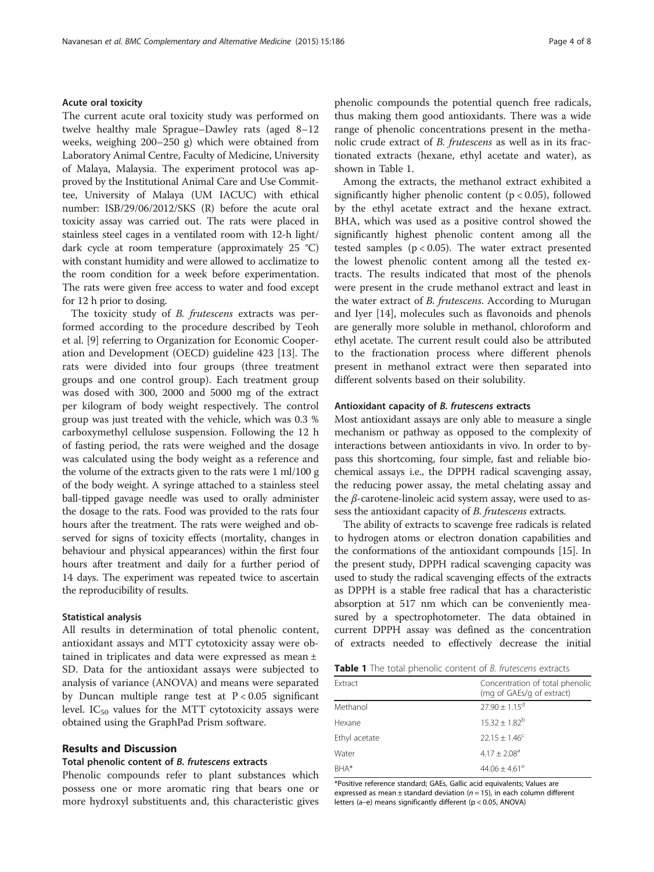## <span id="page-3-0"></span>Acute oral toxicity

The current acute oral toxicity study was performed on twelve healthy male Sprague–Dawley rats (aged 8–12 weeks, weighing 200–250 g) which were obtained from Laboratory Animal Centre, Faculty of Medicine, University of Malaya, Malaysia. The experiment protocol was approved by the Institutional Animal Care and Use Committee, University of Malaya (UM IACUC) with ethical number: ISB/29/06/2012/SKS (R) before the acute oral toxicity assay was carried out. The rats were placed in stainless steel cages in a ventilated room with 12-h light/ dark cycle at room temperature (approximately 25 °C) with constant humidity and were allowed to acclimatize to the room condition for a week before experimentation. The rats were given free access to water and food except for 12 h prior to dosing.

The toxicity study of B. frutescens extracts was performed according to the procedure described by Teoh et al. [\[9](#page-7-0)] referring to Organization for Economic Cooperation and Development (OECD) guideline 423 [[13\]](#page-7-0). The rats were divided into four groups (three treatment groups and one control group). Each treatment group was dosed with 300, 2000 and 5000 mg of the extract per kilogram of body weight respectively. The control group was just treated with the vehicle, which was 0.3 % carboxymethyl cellulose suspension. Following the 12 h of fasting period, the rats were weighed and the dosage was calculated using the body weight as a reference and the volume of the extracts given to the rats were 1 ml/100 g of the body weight. A syringe attached to a stainless steel ball-tipped gavage needle was used to orally administer the dosage to the rats. Food was provided to the rats four hours after the treatment. The rats were weighed and observed for signs of toxicity effects (mortality, changes in behaviour and physical appearances) within the first four hours after treatment and daily for a further period of 14 days. The experiment was repeated twice to ascertain the reproducibility of results.

## Statistical analysis

All results in determination of total phenolic content, antioxidant assays and MTT cytotoxicity assay were obtained in triplicates and data were expressed as mean ± SD. Data for the antioxidant assays were subjected to analysis of variance (ANOVA) and means were separated by Duncan multiple range test at  $P < 0.05$  significant level.  $IC_{50}$  values for the MTT cytotoxicity assays were obtained using the GraphPad Prism software.

## Results and Discussion

## Total phenolic content of B. frutescens extracts

Phenolic compounds refer to plant substances which possess one or more aromatic ring that bears one or more hydroxyl substituents and, this characteristic gives

phenolic compounds the potential quench free radicals, thus making them good antioxidants. There was a wide range of phenolic concentrations present in the methanolic crude extract of *B. frutescens* as well as in its fractionated extracts (hexane, ethyl acetate and water), as shown in Table 1.

Among the extracts, the methanol extract exhibited a significantly higher phenolic content ( $p < 0.05$ ), followed by the ethyl acetate extract and the hexane extract. BHA, which was used as a positive control showed the significantly highest phenolic content among all the tested samples  $(p < 0.05)$ . The water extract presented the lowest phenolic content among all the tested extracts. The results indicated that most of the phenols were present in the crude methanol extract and least in the water extract of B. frutescens. According to Murugan and Iyer [[14\]](#page-7-0), molecules such as flavonoids and phenols are generally more soluble in methanol, chloroform and ethyl acetate. The current result could also be attributed to the fractionation process where different phenols present in methanol extract were then separated into different solvents based on their solubility.

## Antioxidant capacity of B. frutescens extracts

Most antioxidant assays are only able to measure a single mechanism or pathway as opposed to the complexity of interactions between antioxidants in vivo. In order to bypass this shortcoming, four simple, fast and reliable biochemical assays i.e., the DPPH radical scavenging assay, the reducing power assay, the metal chelating assay and the β-carotene-linoleic acid system assay, were used to assess the antioxidant capacity of B. frutescens extracts.

The ability of extracts to scavenge free radicals is related to hydrogen atoms or electron donation capabilities and the conformations of the antioxidant compounds [[15](#page-7-0)]. In the present study, DPPH radical scavenging capacity was used to study the radical scavenging effects of the extracts as DPPH is a stable free radical that has a characteristic absorption at 517 nm which can be conveniently measured by a spectrophotometer. The data obtained in current DPPH assay was defined as the concentration of extracts needed to effectively decrease the initial

| <b>Table 1</b> The total phenolic content of <i>B. frutescens</i> extracts |
|----------------------------------------------------------------------------|
|----------------------------------------------------------------------------|

| Extract       | Concentration of total phenolic<br>(mg of GAEs/g of extract) |
|---------------|--------------------------------------------------------------|
| Methanol      | $27.90 + 1.15^{d}$                                           |
| Hexane        | $15.32 + 1.82^b$                                             |
| Ethyl acetate | $22.15 + 1.46^c$                                             |
| Water         | $4.17 \pm 2.08$ <sup>a</sup>                                 |
| BHA*          | $44.06 \pm 4.61^{\circ}$                                     |
|               |                                                              |

\*Positive reference standard; GAEs, Gallic acid equivalents; Values are expressed as mean  $\pm$  standard deviation ( $n = 15$ ), in each column different letters (a–e) means significantly different (p < 0.05, ANOVA)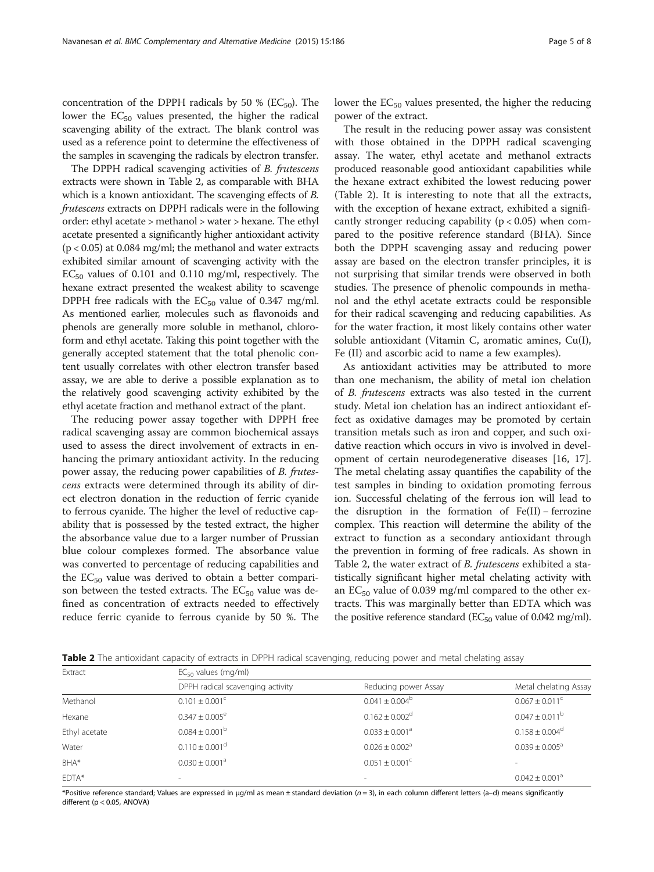<span id="page-4-0"></span>concentration of the DPPH radicals by 50 % ( $EC_{50}$ ). The lower the  $EC_{50}$  values presented, the higher the radical scavenging ability of the extract. The blank control was used as a reference point to determine the effectiveness of the samples in scavenging the radicals by electron transfer.

The DPPH radical scavenging activities of B. frutescens extracts were shown in Table 2, as comparable with BHA which is a known antioxidant. The scavenging effects of B. frutescens extracts on DPPH radicals were in the following order: ethyl acetate > methanol > water > hexane. The ethyl acetate presented a significantly higher antioxidant activity (p < 0.05) at 0.084 mg/ml; the methanol and water extracts exhibited similar amount of scavenging activity with the  $EC_{50}$  values of 0.101 and 0.110 mg/ml, respectively. The hexane extract presented the weakest ability to scavenge DPPH free radicals with the  $EC_{50}$  value of 0.347 mg/ml. As mentioned earlier, molecules such as flavonoids and phenols are generally more soluble in methanol, chloroform and ethyl acetate. Taking this point together with the generally accepted statement that the total phenolic content usually correlates with other electron transfer based assay, we are able to derive a possible explanation as to the relatively good scavenging activity exhibited by the ethyl acetate fraction and methanol extract of the plant.

The reducing power assay together with DPPH free radical scavenging assay are common biochemical assays used to assess the direct involvement of extracts in enhancing the primary antioxidant activity. In the reducing power assay, the reducing power capabilities of B. frutescens extracts were determined through its ability of direct electron donation in the reduction of ferric cyanide to ferrous cyanide. The higher the level of reductive capability that is possessed by the tested extract, the higher the absorbance value due to a larger number of Prussian blue colour complexes formed. The absorbance value was converted to percentage of reducing capabilities and the  $EC_{50}$  value was derived to obtain a better comparison between the tested extracts. The  $EC_{50}$  value was defined as concentration of extracts needed to effectively reduce ferric cyanide to ferrous cyanide by 50 %. The lower the  $EC_{50}$  values presented, the higher the reducing power of the extract.

The result in the reducing power assay was consistent with those obtained in the DPPH radical scavenging assay. The water, ethyl acetate and methanol extracts produced reasonable good antioxidant capabilities while the hexane extract exhibited the lowest reducing power (Table 2). It is interesting to note that all the extracts, with the exception of hexane extract, exhibited a significantly stronger reducing capability ( $p < 0.05$ ) when compared to the positive reference standard (BHA). Since both the DPPH scavenging assay and reducing power assay are based on the electron transfer principles, it is not surprising that similar trends were observed in both studies. The presence of phenolic compounds in methanol and the ethyl acetate extracts could be responsible for their radical scavenging and reducing capabilities. As for the water fraction, it most likely contains other water soluble antioxidant (Vitamin C, aromatic amines, Cu(I), Fe (II) and ascorbic acid to name a few examples).

As antioxidant activities may be attributed to more than one mechanism, the ability of metal ion chelation of B. frutescens extracts was also tested in the current study. Metal ion chelation has an indirect antioxidant effect as oxidative damages may be promoted by certain transition metals such as iron and copper, and such oxidative reaction which occurs in vivo is involved in development of certain neurodegenerative diseases [[16, 17](#page-7-0)]. The metal chelating assay quantifies the capability of the test samples in binding to oxidation promoting ferrous ion. Successful chelating of the ferrous ion will lead to the disruption in the formation of Fe(II) − ferrozine complex. This reaction will determine the ability of the extract to function as a secondary antioxidant through the prevention in forming of free radicals. As shown in Table 2, the water extract of B. frutescens exhibited a statistically significant higher metal chelating activity with an  $EC_{50}$  value of 0.039 mg/ml compared to the other extracts. This was marginally better than EDTA which was the positive reference standard ( $EC_{50}$  value of 0.042 mg/ml).

Table 2 The antioxidant capacity of extracts in DPPH radical scavenging, reducing power and metal chelating assay

| Extract       | $EC_{50}$ values (mg/ml)         |                                |                                |  |  |
|---------------|----------------------------------|--------------------------------|--------------------------------|--|--|
|               | DPPH radical scavenging activity | Reducing power Assay           | Metal chelating Assay          |  |  |
| Methanol      | $0.101 \pm 0.001^{\circ}$        | $0.041 \pm 0.004^b$            | $0.067 \pm 0.011$ <sup>c</sup> |  |  |
| Hexane        | $0.347 \pm 0.005^{\circ}$        | $0.162 \pm 0.002$ <sup>d</sup> | $0.047 \pm 0.011^{\rm b}$      |  |  |
| Ethyl acetate | $0.084 \pm 0.001^{\rm b}$        | $0.033 \pm 0.001^a$            | $0.158 \pm 0.004$ <sup>d</sup> |  |  |
| Water         | $0.110 \pm 0.001$ <sup>d</sup>   | $0.026 \pm 0.002$ <sup>a</sup> | $0.039 \pm 0.005^a$            |  |  |
| BHA*          | $0.030 \pm 0.001^a$              | $0.051 \pm 0.001^{\circ}$      |                                |  |  |
| EDTA*         |                                  |                                | $0.042 \pm 0.001^a$            |  |  |

\*Positive reference standard; Values are expressed in μg/ml as mean ± standard deviation (n = 3), in each column different letters (a–d) means significantly different (p < 0.05, ANOVA)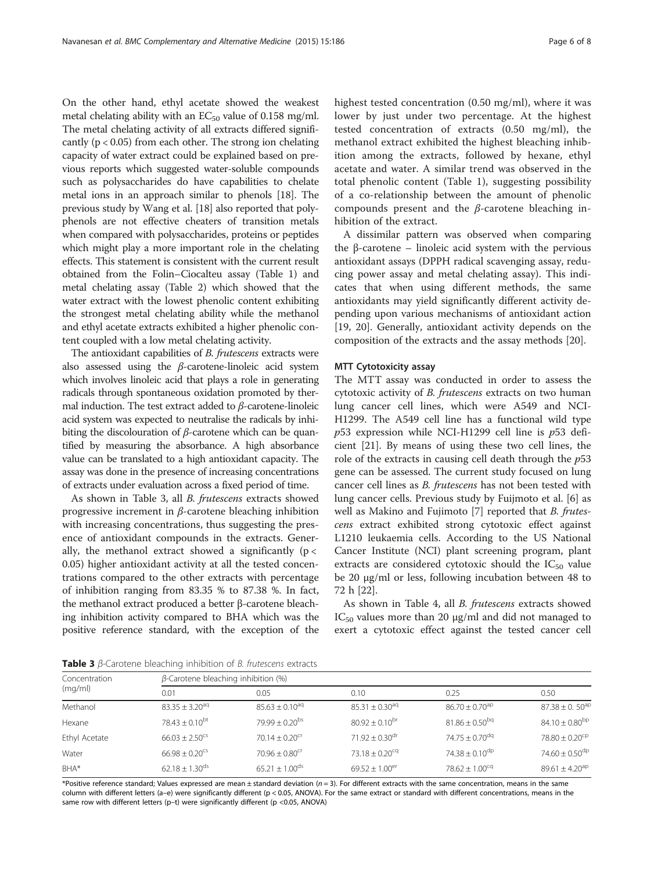On the other hand, ethyl acetate showed the weakest metal chelating ability with an  $EC_{50}$  value of 0.158 mg/ml. The metal chelating activity of all extracts differed significantly ( $p < 0.05$ ) from each other. The strong ion chelating capacity of water extract could be explained based on previous reports which suggested water-soluble compounds such as polysaccharides do have capabilities to chelate metal ions in an approach similar to phenols [\[18\]](#page-7-0). The previous study by Wang et al. [\[18\]](#page-7-0) also reported that polyphenols are not effective cheaters of transition metals when compared with polysaccharides, proteins or peptides which might play a more important role in the chelating effects. This statement is consistent with the current result obtained from the Folin–Ciocalteu assay (Table [1\)](#page-3-0) and metal chelating assay (Table [2](#page-4-0)) which showed that the water extract with the lowest phenolic content exhibiting the strongest metal chelating ability while the methanol and ethyl acetate extracts exhibited a higher phenolic content coupled with a low metal chelating activity.

The antioxidant capabilities of *B. frutescens* extracts were also assessed using the β-carotene-linoleic acid system which involves linoleic acid that plays a role in generating radicals through spontaneous oxidation promoted by thermal induction. The test extract added to  $β$ -carotene-linoleic acid system was expected to neutralise the radicals by inhibiting the discolouration of  $β$ -carotene which can be quantified by measuring the absorbance. A high absorbance value can be translated to a high antioxidant capacity. The assay was done in the presence of increasing concentrations of extracts under evaluation across a fixed period of time.

As shown in Table 3, all B. frutescens extracts showed progressive increment in  $\beta$ -carotene bleaching inhibition with increasing concentrations, thus suggesting the presence of antioxidant compounds in the extracts. Generally, the methanol extract showed a significantly ( $p <$ 0.05) higher antioxidant activity at all the tested concentrations compared to the other extracts with percentage of inhibition ranging from 83.35 % to 87.38 %. In fact, the methanol extract produced a better β-carotene bleaching inhibition activity compared to BHA which was the positive reference standard, with the exception of the highest tested concentration (0.50 mg/ml), where it was lower by just under two percentage. At the highest tested concentration of extracts (0.50 mg/ml), the methanol extract exhibited the highest bleaching inhibition among the extracts, followed by hexane, ethyl acetate and water. A similar trend was observed in the total phenolic content (Table [1](#page-3-0)), suggesting possibility of a co-relationship between the amount of phenolic compounds present and the  $\beta$ -carotene bleaching inhibition of the extract.

A dissimilar pattern was observed when comparing the β-carotene – linoleic acid system with the pervious antioxidant assays (DPPH radical scavenging assay, reducing power assay and metal chelating assay). This indicates that when using different methods, the same antioxidants may yield significantly different activity depending upon various mechanisms of antioxidant action [[19, 20\]](#page-7-0). Generally, antioxidant activity depends on the composition of the extracts and the assay methods [[20\]](#page-7-0).

## MTT Cytotoxicity assay

The MTT assay was conducted in order to assess the cytotoxic activity of B. frutescens extracts on two human lung cancer cell lines, which were A549 and NCI-H1299. The A549 cell line has a functional wild type  $p53$  expression while NCI-H1299 cell line is  $p53$  deficient [\[21](#page-7-0)]. By means of using these two cell lines, the role of the extracts in causing cell death through the  $p53$ gene can be assessed. The current study focused on lung cancer cell lines as B. frutescens has not been tested with lung cancer cells. Previous study by Fuijmoto et al. [\[6](#page-7-0)] as well as Makino and Fujimoto [[7](#page-7-0)] reported that B. frutescens extract exhibited strong cytotoxic effect against L1210 leukaemia cells. According to the US National Cancer Institute (NCI) plant screening program, plant extracts are considered cytotoxic should the  $IC_{50}$  value be 20 μg/ml or less, following incubation between 48 to 72 h [[22\]](#page-7-0).

As shown in Table [4](#page-6-0), all B. frutescens extracts showed IC<sub>50</sub> values more than 20  $\mu$ g/ml and did not managed to exert a cytotoxic effect against the tested cancer cell

Table 3 β-Carotene bleaching inhibition of B. frutescens extracts

| Concentration<br>(mq/ml) | $\beta$ -Carotene bleaching inhibition (%) |                                |                                |                       |                              |  |  |
|--------------------------|--------------------------------------------|--------------------------------|--------------------------------|-----------------------|------------------------------|--|--|
|                          | 0.01                                       | 0.05                           | 0.10                           | 0.25                  | 0.50                         |  |  |
| Methanol                 | $83.35 + 3.20^{aq}$                        | $85.63 \pm 0.10^{aq}$          | $85.31 + 0.30^{aq}$            | $86.70 + 0.70^{ap}$   | $87.38 \pm 0.50^{ap}$        |  |  |
| Hexane                   | $78.43 \pm 0.10^{bt}$                      | 79.99 $\pm$ 0.20 <sup>bs</sup> | $80.92 + 0.10^{br}$            | $81.86 \pm 0.50^{bq}$ | $84.10 \pm 0.80^{bp}$        |  |  |
| Ethyl Acetate            | $66.03 + 2.50$ <sup>cs</sup>               | $70.14 \pm 0.20$ <sup>cr</sup> | $71.92 \pm 0.30$ <sup>dr</sup> | $74.75 + 0.70^{dq}$   | $78.80 \pm 0.20^{\text{CP}}$ |  |  |
| Water                    | $66.98 + 0.20$ <sup>cs</sup>               | $70.96 + 0.80$ <sup>cr</sup>   | $73.18 + 0.20^{eq}$            | $74.38 + 0.10^{dp}$   | $74.60 \pm 0.50^{dp}$        |  |  |
| BHA*                     | $62.18 \pm 1.30$ <sup>ds</sup>             | $65.21 \pm 1.00$ <sup>ds</sup> | $69.52 + 1.00$ <sup>er</sup>   | $78.62 + 1.00^{eq}$   | $89.61 + 4.20^{ap}$          |  |  |
|                          |                                            |                                |                                |                       |                              |  |  |

\*Positive reference standard; Values expressed are mean  $\pm$  standard deviation ( $n = 3$ ). For different extracts with the same concentration, means in the same column with different letters (a–e) were significantly different (p < 0.05, ANOVA). For the same extract or standard with different concentrations, means in the same row with different letters (p-t) were significantly different (p <0.05, ANOVA)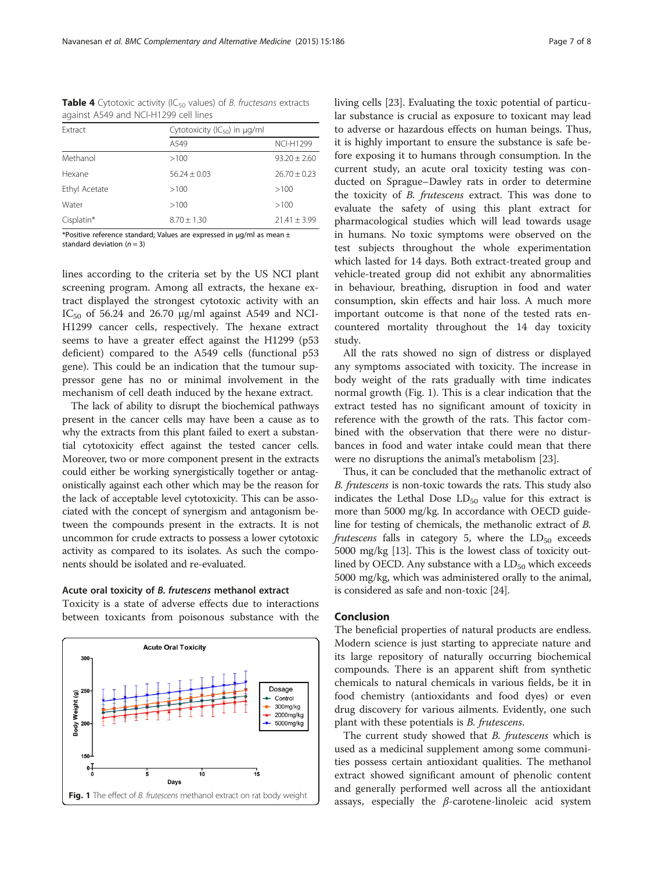<span id="page-6-0"></span>**Table 4** Cytotoxic activity ( $IC_{50}$  values) of *B. fructesans* extracts against A549 and NCI-H1299 cell lines

| A549           | <b>NCI-H1299</b>                              |
|----------------|-----------------------------------------------|
| >100           | $93.20 \pm 2.60$                              |
| $56.24 + 0.03$ | $26.70 + 0.23$                                |
| >100           | >100                                          |
| >100           | >100                                          |
| $8.70 + 1.30$  | $21.41 \pm 3.99$                              |
|                | Cytotoxicity ( $ C_{50}\rangle$ in $\mu q/ml$ |

\*Positive reference standard; Values are expressed in  $\mu$ g/ml as mean  $\pm$ standard deviation  $(n = 3)$ 

lines according to the criteria set by the US NCI plant screening program. Among all extracts, the hexane extract displayed the strongest cytotoxic activity with an  $IC_{50}$  of 56.24 and 26.70  $\mu$ g/ml against A549 and NCI-H1299 cancer cells, respectively. The hexane extract seems to have a greater effect against the H1299 (p53 deficient) compared to the A549 cells (functional p53 gene). This could be an indication that the tumour suppressor gene has no or minimal involvement in the mechanism of cell death induced by the hexane extract.

The lack of ability to disrupt the biochemical pathways present in the cancer cells may have been a cause as to why the extracts from this plant failed to exert a substantial cytotoxicity effect against the tested cancer cells. Moreover, two or more component present in the extracts could either be working synergistically together or antagonistically against each other which may be the reason for the lack of acceptable level cytotoxicity. This can be associated with the concept of synergism and antagonism between the compounds present in the extracts. It is not uncommon for crude extracts to possess a lower cytotoxic activity as compared to its isolates. As such the components should be isolated and re-evaluated.

## Acute oral toxicity of B. frutescens methanol extract

Toxicity is a state of adverse effects due to interactions between toxicants from poisonous substance with the



living cells [[23\]](#page-7-0). Evaluating the toxic potential of particular substance is crucial as exposure to toxicant may lead to adverse or hazardous effects on human beings. Thus, it is highly important to ensure the substance is safe before exposing it to humans through consumption. In the current study, an acute oral toxicity testing was conducted on Sprague–Dawley rats in order to determine the toxicity of B. frutescens extract. This was done to evaluate the safety of using this plant extract for pharmacological studies which will lead towards usage in humans. No toxic symptoms were observed on the test subjects throughout the whole experimentation which lasted for 14 days. Both extract-treated group and vehicle-treated group did not exhibit any abnormalities in behaviour, breathing, disruption in food and water consumption, skin effects and hair loss. A much more important outcome is that none of the tested rats encountered mortality throughout the 14 day toxicity study.

All the rats showed no sign of distress or displayed any symptoms associated with toxicity. The increase in body weight of the rats gradually with time indicates normal growth (Fig. 1). This is a clear indication that the extract tested has no significant amount of toxicity in reference with the growth of the rats. This factor combined with the observation that there were no disturbances in food and water intake could mean that there were no disruptions the animal's metabolism [\[23](#page-7-0)].

Thus, it can be concluded that the methanolic extract of B. frutescens is non-toxic towards the rats. This study also indicates the Lethal Dose  $LD_{50}$  value for this extract is more than 5000 mg/kg. In accordance with OECD guideline for testing of chemicals, the methanolic extract of B.  $frutescens$  falls in category 5, where the  $LD_{50}$  exceeds 5000 mg/kg [\[13\]](#page-7-0). This is the lowest class of toxicity outlined by OECD. Any substance with a  $LD_{50}$  which exceeds 5000 mg/kg, which was administered orally to the animal, is considered as safe and non-toxic [[24](#page-7-0)].

## Conclusion

The beneficial properties of natural products are endless. Modern science is just starting to appreciate nature and its large repository of naturally occurring biochemical compounds. There is an apparent shift from synthetic chemicals to natural chemicals in various fields, be it in food chemistry (antioxidants and food dyes) or even drug discovery for various ailments. Evidently, one such plant with these potentials is *B. frutescens*.

The current study showed that *B. frutescens* which is used as a medicinal supplement among some communities possess certain antioxidant qualities. The methanol extract showed significant amount of phenolic content and generally performed well across all the antioxidant assays, especially the  $\beta$ -carotene-linoleic acid system